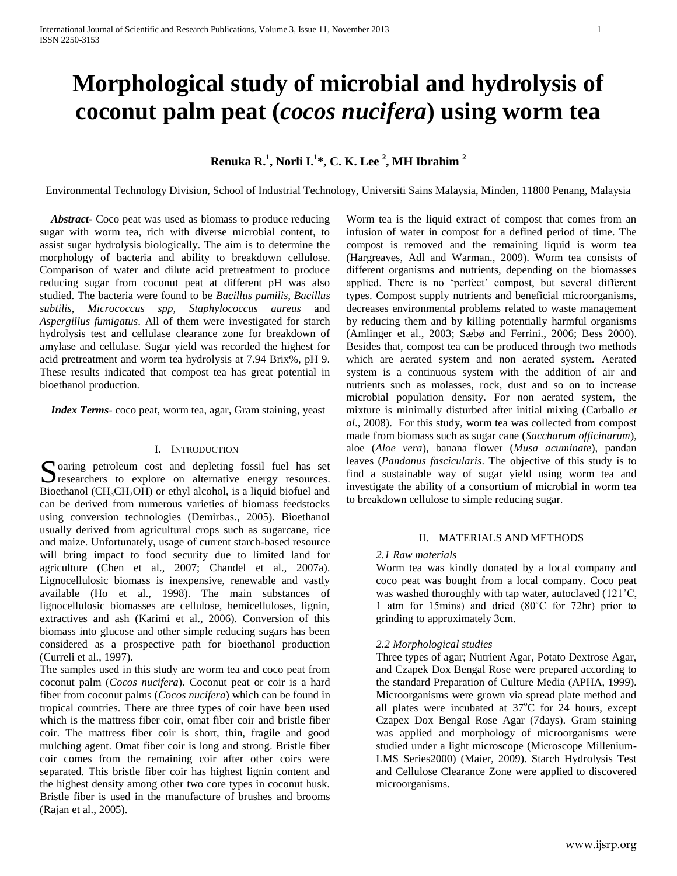# **Morphological study of microbial and hydrolysis of coconut palm peat (***cocos nucifera***) using worm tea**

# **Renuka R.<sup>1</sup> , Norli I.<sup>1</sup> \*, C. K. Lee <sup>2</sup> , MH Ibrahim <sup>2</sup>**

Environmental Technology Division, School of Industrial Technology, Universiti Sains Malaysia, Minden, 11800 Penang, Malaysia

 *Abstract***-** Coco peat was used as biomass to produce reducing sugar with worm tea, rich with diverse microbial content, to assist sugar hydrolysis biologically. The aim is to determine the morphology of bacteria and ability to breakdown cellulose. Comparison of water and dilute acid pretreatment to produce reducing sugar from coconut peat at different pH was also studied. The bacteria were found to be *Bacillus pumilis, Bacillus subtilis*, *Micrococcus spp, Staphylococcus aureus* and *Aspergillus fumigatus*. All of them were investigated for starch hydrolysis test and cellulase clearance zone for breakdown of amylase and cellulase. Sugar yield was recorded the highest for acid pretreatment and worm tea hydrolysis at 7.94 Brix%, pH 9. These results indicated that compost tea has great potential in bioethanol production.

 *Index Terms*- coco peat, worm tea, agar, Gram staining, yeast

# I. INTRODUCTION

oaring petroleum cost and depleting fossil fuel has set Soaring petroleum cost and depleting fossil fuel has set researchers to explore on alternative energy resources. Bioethanol (CH<sub>3</sub>CH<sub>2</sub>OH) or ethyl alcohol, is a liquid biofuel and can be derived from numerous varieties of biomass feedstocks using conversion technologies (Demirbas., 2005). Bioethanol usually derived from agricultural crops such as sugarcane, rice and maize. Unfortunately, usage of current starch-based resource will bring impact to food security due to limited land for agriculture (Chen et al., 2007; Chandel et al., 2007a). Lignocellulosic biomass is inexpensive, renewable and vastly available (Ho et al., 1998). The main substances of lignocellulosic biomasses are cellulose, hemicelluloses, lignin, extractives and ash (Karimi et al., 2006). Conversion of this biomass into glucose and other simple reducing sugars has been considered as a prospective path for bioethanol production (Curreli et al., 1997).

The samples used in this study are worm tea and coco peat from coconut palm (*Cocos nucifera*). Coconut peat or coir is a hard fiber from coconut palms (*Cocos nucifera*) which can be found in tropical countries. There are three types of coir have been used which is the mattress fiber coir, omat fiber coir and bristle fiber coir. The mattress fiber coir is short, thin, fragile and good mulching agent. Omat fiber coir is long and strong. Bristle fiber coir comes from the remaining coir after other coirs were separated. This bristle fiber coir has highest lignin content and the highest density among other two core types in coconut husk. Bristle fiber is used in the manufacture of brushes and brooms (Rajan et al., 2005).

Worm tea is the liquid extract of compost that comes from an infusion of water in compost for a defined period of time. The compost is removed and the remaining liquid is worm tea (Hargreaves, Adl and Warman., 2009). Worm tea consists of different organisms and nutrients, depending on the biomasses applied. There is no 'perfect' compost, but several different types. Compost supply nutrients and beneficial microorganisms, decreases environmental problems related to waste management by reducing them and by killing potentially harmful organisms (Amlinger et al., 2003; Sæbø and Ferrini., 2006; Bess 2000). Besides that, compost tea can be produced through two methods which are aerated system and non aerated system. Aerated system is a continuous system with the addition of air and nutrients such as molasses, rock, dust and so on to increase microbial population density. For non aerated system, the mixture is minimally disturbed after initial mixing (Carballo *et al*., 2008). For this study, worm tea was collected from compost made from biomass such as sugar cane (*Saccharum officinarum*), aloe (*Aloe vera*), banana flower (*Musa acuminate*), pandan leaves (*Pandanus fascicularis*. The objective of this study is to find a sustainable way of sugar yield using worm tea and investigate the ability of a consortium of microbial in worm tea to breakdown cellulose to simple reducing sugar.

# II. MATERIALS AND METHODS

#### *2.1 Raw materials*

Worm tea was kindly donated by a local company and coco peat was bought from a local company. Coco peat was washed thoroughly with tap water, autoclaved (121˚C, 1 atm for 15mins) and dried (80˚C for 72hr) prior to grinding to approximately 3cm.

# *2.2 Morphological studies*

Three types of agar; Nutrient Agar, Potato Dextrose Agar, and Czapek Dox Bengal Rose were prepared according to the standard Preparation of Culture Media (APHA, 1999). Microorganisms were grown via spread plate method and all plates were incubated at  $37^{\circ}$ C for 24 hours, except Czapex Dox Bengal Rose Agar (7days). Gram staining was applied and morphology of microorganisms were studied under a light microscope (Microscope Millenium-LMS Series2000) (Maier, 2009). Starch Hydrolysis Test and Cellulose Clearance Zone were applied to discovered microorganisms.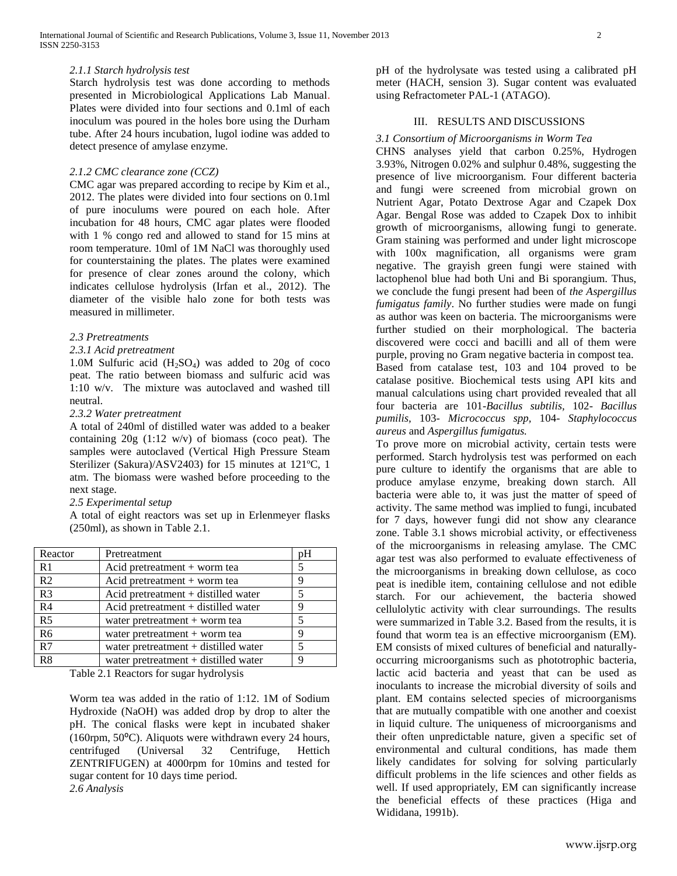# *2.1.1 Starch hydrolysis test*

Starch hydrolysis test was done according to methods presented in Microbiological Applications Lab Manual. Plates were divided into four sections and 0.1ml of each inoculum was poured in the holes bore using the Durham tube. After 24 hours incubation, lugol iodine was added to detect presence of amylase enzyme.

#### *2.1.2 CMC clearance zone (CCZ)*

CMC agar was prepared according to recipe by Kim et al., 2012. The plates were divided into four sections on 0.1ml of pure inoculums were poured on each hole. After incubation for 48 hours, CMC agar plates were flooded with 1 % congo red and allowed to stand for 15 mins at room temperature. 10ml of 1M NaCl was thoroughly used for counterstaining the plates. The plates were examined for presence of clear zones around the colony, which indicates cellulose hydrolysis (Irfan et al., 2012). The diameter of the visible halo zone for both tests was measured in millimeter.

#### *2.3 Pretreatments*

#### *2.3.1 Acid pretreatment*

1.0M Sulfuric acid  $(H_2SO_4)$  was added to 20g of coco peat. The ratio between biomass and sulfuric acid was 1:10 w/v. The mixture was autoclaved and washed till neutral.

#### *2.3.2 Water pretreatment*

A total of 240ml of distilled water was added to a beaker containing  $20g$  (1:12 w/v) of biomass (coco peat). The samples were autoclaved (Vertical High Pressure Steam Sterilizer (Sakura)/ASV2403) for 15 minutes at 121ºC, 1 atm. The biomass were washed before proceeding to the next stage.

#### *2.5 Experimental setup*

A total of eight reactors was set up in Erlenmeyer flasks (250ml), as shown in Table 2.1.

| Reactor        | Pretreatment                          | pΗ |
|----------------|---------------------------------------|----|
| R <sub>1</sub> | Acid pretreatment + worm tea          | 5  |
| R <sub>2</sub> | Acid pretreatment + worm tea          | 9  |
| R <sub>3</sub> | Acid pretreatment $+$ distilled water | 5  |
| R <sub>4</sub> | Acid pretreatment $+$ distilled water | 9  |
| R <sub>5</sub> | water pretreatment $+$ worm tea       | 5  |
| R <sub>6</sub> | water pretreatment $+$ worm tea       | 9  |
| R7             | water pretreatment + distilled water  | 5  |
| R <sup>8</sup> | water pretreatment + distilled water  | q  |

Table 2.1 Reactors for sugar hydrolysis

Worm tea was added in the ratio of 1:12. 1M of Sodium Hydroxide (NaOH) was added drop by drop to alter the pH. The conical flasks were kept in incubated shaker (160rpm,  $50^{\circ}$ C). Aliquots were withdrawn every 24 hours, centrifuged (Universal 32 Centrifuge, Hettich ZENTRIFUGEN) at 4000rpm for 10mins and tested for sugar content for 10 days time period. *2.6 Analysis*

pH of the hydrolysate was tested using a calibrated pH meter (HACH, sension 3). Sugar content was evaluated using Refractometer PAL-1 (ATAGO).

# III. RESULTS AND DISCUSSIONS

*3.1 Consortium of Microorganisms in Worm Tea* CHNS analyses yield that carbon 0.25%, Hydrogen 3.93%, Nitrogen 0.02% and sulphur 0.48%, suggesting the presence of live microorganism. Four different bacteria and fungi were screened from microbial grown on Nutrient Agar, Potato Dextrose Agar and Czapek Dox Agar. Bengal Rose was added to Czapek Dox to inhibit growth of microorganisms, allowing fungi to generate. Gram staining was performed and under light microscope with 100x magnification, all organisms were gram negative. The grayish green fungi were stained with lactophenol blue had both Uni and Bi sporangium. Thus, we conclude the fungi present had been of *the Aspergillus fumigatus family*. No further studies were made on fungi as author was keen on bacteria. The microorganisms were further studied on their morphological. The bacteria discovered were cocci and bacilli and all of them were purple, proving no Gram negative bacteria in compost tea. Based from catalase test, 103 and 104 proved to be catalase positive. Biochemical tests using API kits and manual calculations using chart provided revealed that all four bacteria are 101-*Bacillus subtilis,* 102- *Bacillus pumilis,* 103- *Micrococcus spp,* 104- *Staphylococcus aureus* and *Aspergillus fumigatus.*

To prove more on microbial activity, certain tests were performed. Starch hydrolysis test was performed on each pure culture to identify the organisms that are able to produce amylase enzyme, breaking down starch. All bacteria were able to, it was just the matter of speed of activity. The same method was implied to fungi, incubated for 7 days, however fungi did not show any clearance zone. Table 3.1 shows microbial activity, or effectiveness of the microorganisms in releasing amylase. The CMC agar test was also performed to evaluate effectiveness of the microorganisms in breaking down cellulose, as coco peat is inedible item, containing cellulose and not edible starch. For our achievement, the bacteria showed cellulolytic activity with clear surroundings. The results were summarized in Table 3.2. Based from the results, it is found that worm tea is an effective microorganism (EM). EM consists of mixed cultures of beneficial and naturallyoccurring microorganisms such as phototrophic bacteria, lactic acid bacteria and yeast that can be used as inoculants to increase the microbial diversity of soils and plant. EM contains selected species of microorganisms that are mutually compatible with one another and coexist in liquid culture. The uniqueness of microorganisms and their often unpredictable nature, given a specific set of environmental and cultural conditions, has made them likely candidates for solving for solving particularly difficult problems in the life sciences and other fields as well. If used appropriately, EM can significantly increase the beneficial effects of these practices (Higa and Wididana, 1991b).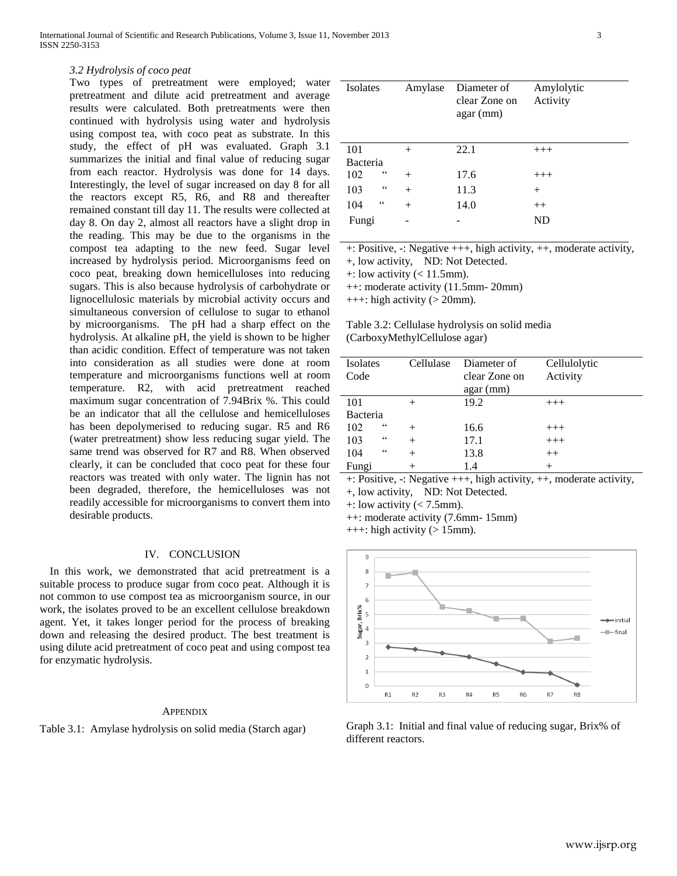#### *3.2 Hydrolysis of coco peat*

Two types of pretreatment were employed; water pretreatment and dilute acid pretreatment and average results were calculated. Both pretreatments were then continued with hydrolysis using water and hydrolysis using compost tea, with coco peat as substrate. In this study, the effect of pH was evaluated. Graph 3.1 summarizes the initial and final value of reducing sugar from each reactor. Hydrolysis was done for 14 days. Interestingly, the level of sugar increased on day 8 for all the reactors except R5, R6, and R8 and thereafter remained constant till day 11. The results were collected at day 8. On day 2, almost all reactors have a slight drop in the reading. This may be due to the organisms in the compost tea adapting to the new feed. Sugar level increased by hydrolysis period. Microorganisms feed on coco peat, breaking down hemicelluloses into reducing sugars. This is also because hydrolysis of carbohydrate or lignocellulosic materials by microbial activity occurs and simultaneous conversion of cellulose to sugar to ethanol by microorganisms. The pH had a sharp effect on the hydrolysis. At alkaline pH, the yield is shown to be higher than acidic condition. Effect of temperature was not taken into consideration as all studies were done at room temperature and microorganisms functions well at room temperature. R2, with acid pretreatment reached maximum sugar concentration of 7.94Brix %. This could be an indicator that all the cellulose and hemicelluloses has been depolymerised to reducing sugar. R5 and R6 (water pretreatment) show less reducing sugar yield. The same trend was observed for R7 and R8. When observed clearly, it can be concluded that coco peat for these four reactors was treated with only water. The lignin has not been degraded, therefore, the hemicelluloses was not readily accessible for microorganisms to convert them into desirable products.

# IV. CONCLUSION

 In this work, we demonstrated that acid pretreatment is a suitable process to produce sugar from coco peat. Although it is not common to use compost tea as microorganism source, in our work, the isolates proved to be an excellent cellulose breakdown agent. Yet, it takes longer period for the process of breaking down and releasing the desired product. The best treatment is using dilute acid pretreatment of coco peat and using compost tea for enzymatic hydrolysis.

#### **APPENDIX**

Table 3.1: Amylase hydrolysis on solid media (Starch agar)

| Isolates                   | Amylase | Diameter of<br>clear Zone on<br>$agar$ (mm) | Amylolytic<br>Activity |
|----------------------------|---------|---------------------------------------------|------------------------|
| 101                        | $+$     | 22.1                                        | $+++$                  |
| Bacteria                   |         |                                             |                        |
| $\subset$<br>102           | $+$     | 17.6                                        | $+++$                  |
| $\subset$<br>103           | $+$     | 11.3                                        | $^{+}$                 |
| $\subset$ $\subset$<br>104 | $+$     | 14.0                                        | $++$                   |
| Fungi                      |         |                                             | ND                     |
|                            |         |                                             |                        |

+: Positive, -: Negative +++, high activity, ++, moderate activity,

+, low activity, ND: Not Detected.

 $+$ : low activity (< 11.5mm).

++: moderate activity (11.5mm- 20mm)

 $_{+++}$ : high activity ( $>$  20mm).

Table 3.2: Cellulase hydrolysis on solid media (CarboxyMethylCellulose agar)

| Isolates |    | Cellulase | Diameter of   | Cellulolytic |
|----------|----|-----------|---------------|--------------|
| Code     |    |           | clear Zone on | Activity     |
|          |    |           | agar (mm)     |              |
| 101      |    | $^{+}$    | 19.2          | $+++$        |
| Bacteria |    |           |               |              |
| 102      | cc |           | 16.6          | $+++$        |
| 103      | cc | $+$       | 17.1          | $+++$        |
| 104      | cc | $^{+}$    | 13.8          | $++$         |
| Fungi    |    |           | 1.4           | $^{+}$       |

+: Positive, -: Negative +++, high activity, ++, moderate activity,

+, low activity, ND: Not Detected.

 $+$ : low activity (< 7.5mm).

++: moderate activity (7.6mm- 15mm)

 $+++$ : high activity ( $> 15$ mm).



Graph 3.1: Initial and final value of reducing sugar, Brix% of different reactors.